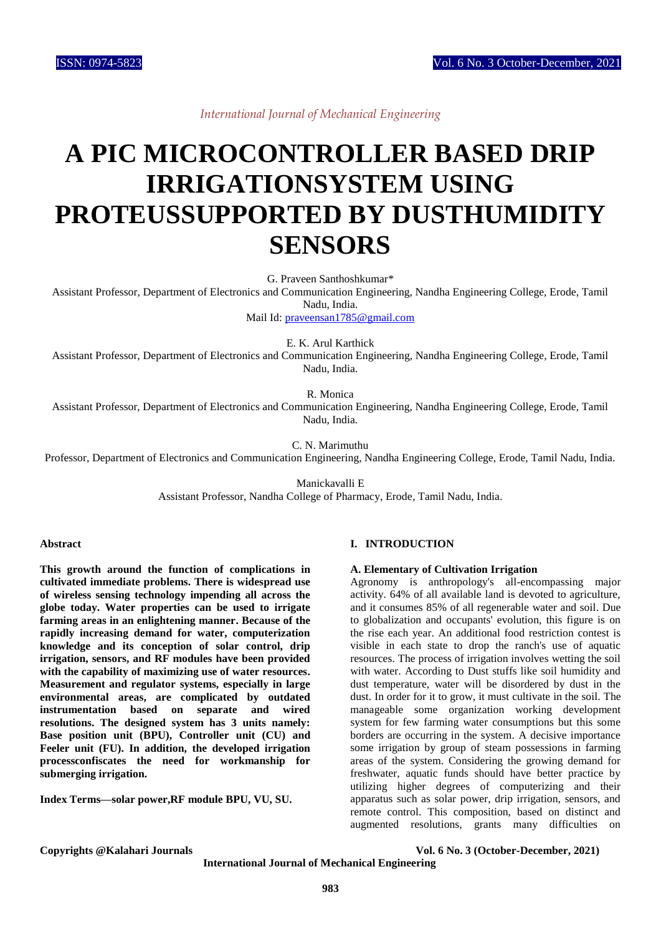*International Journal of Mechanical Engineering*

# **A PIC MICROCONTROLLER BASED DRIP IRRIGATIONSYSTEM USING PROTEUSSUPPORTED BY DUSTHUMIDITY SENSORS**

G. Praveen Santhoshkumar\*

Assistant Professor, Department of Electronics and Communication Engineering, Nandha Engineering College, Erode, Tamil Nadu, India.

Mail Id: [praveensan1785@gmail.com](mailto:praveensan1785@gmail.com)

E. K. Arul Karthick

Assistant Professor, Department of Electronics and Communication Engineering, Nandha Engineering College, Erode, Tamil Nadu, India.

R. Monica

Assistant Professor, Department of Electronics and Communication Engineering, Nandha Engineering College, Erode, Tamil Nadu, India.

C. N. Marimuthu

Professor, Department of Electronics and Communication Engineering, Nandha Engineering College, Erode, Tamil Nadu, India.

Manickavalli E

Assistant Professor, Nandha College of Pharmacy, Erode, Tamil Nadu, India.

#### **Abstract**

**This growth around the function of complications in cultivated immediate problems. There is widespread use of wireless sensing technology impending all across the globe today. Water properties can be used to irrigate farming areas in an enlightening manner. Because of the rapidly increasing demand for water, computerization knowledge and its conception of solar control, drip irrigation, sensors, and RF modules have been provided with the capability of maximizing use of water resources. Measurement and regulator systems, especially in large environmental areas, are complicated by outdated instrumentation based on separate and wired resolutions. The designed system has 3 units namely: Base position unit (BPU), Controller unit (CU) and Feeler unit (FU). In addition, the developed irrigation processconfiscates the need for workmanship for submerging irrigation.**

**Index Terms—solar power,RF module BPU, VU, SU.**

# **I. INTRODUCTION**

### **A. Elementary of Cultivation Irrigation**

Agronomy is anthropology's all-encompassing major activity. 64% of all available land is devoted to agriculture, and it consumes 85% of all regenerable water and soil. Due to globalization and occupants' evolution, this figure is on the rise each year. An additional food restriction contest is visible in each state to drop the ranch's use of aquatic resources. The process of irrigation involves wetting the soil with water. According to Dust stuffs like soil humidity and dust temperature, water will be disordered by dust in the dust. In order for it to grow, it must cultivate in the soil. The manageable some organization working development system for few farming water consumptions but this some borders are occurring in the system. A decisive importance some irrigation by group of steam possessions in farming areas of the system. Considering the growing demand for freshwater, aquatic funds should have better practice by utilizing higher degrees of computerizing and their apparatus such as solar power, drip irrigation, sensors, and remote control. This composition, based on distinct and augmented resolutions, grants many difficulties on

**Copyrights @Kalahari Journals Vol. 6 No. 3 (October-December, 2021)**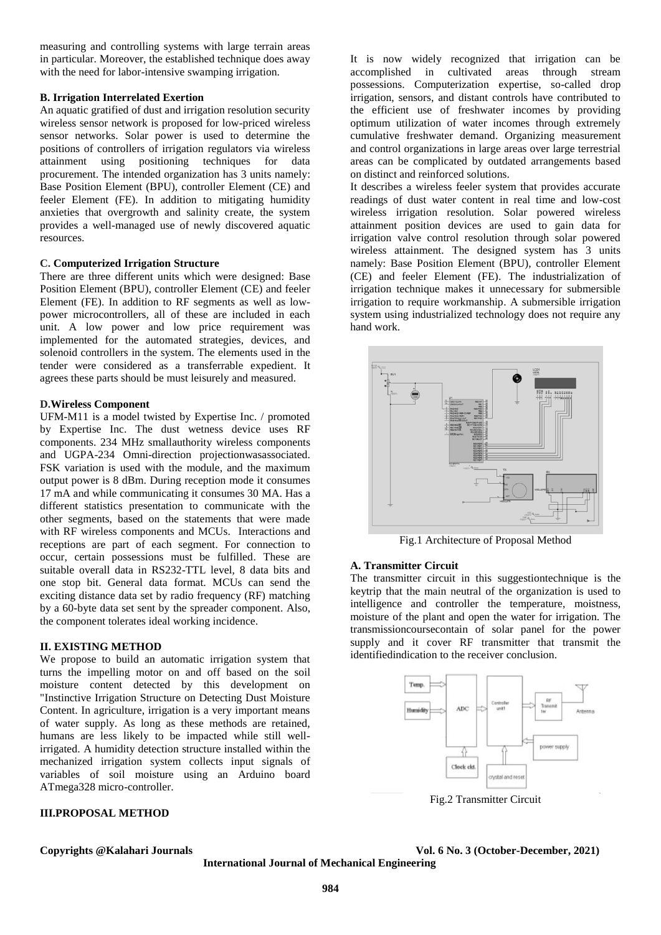measuring and controlling systems with large terrain areas in particular. Moreover, the established technique does away with the need for labor-intensive swamping irrigation.

### **B. Irrigation Interrelated Exertion**

An aquatic gratified of dust and irrigation resolution security wireless sensor network is proposed for low-priced wireless sensor networks. Solar power is used to determine the positions of controllers of irrigation regulators via wireless attainment using positioning techniques for data procurement. The intended organization has 3 units namely: Base Position Element (BPU), controller Element (CE) and feeler Element (FE). In addition to mitigating humidity anxieties that overgrowth and salinity create, the system provides a well-managed use of newly discovered aquatic resources.

#### **C. Computerized Irrigation Structure**

There are three different units which were designed: Base Position Element (BPU), controller Element (CE) and feeler Element (FE). In addition to RF segments as well as lowpower microcontrollers, all of these are included in each unit. A low power and low price requirement was implemented for the automated strategies, devices, and solenoid controllers in the system. The elements used in the tender were considered as a transferrable expedient. It agrees these parts should be must leisurely and measured.

#### **D.Wireless Component**

UFM-M11 is a model twisted by Expertise Inc. / promoted by Expertise Inc. The dust wetness device uses RF components. 234 MHz smallauthority wireless components and UGPA-234 Omni-direction projectionwasassociated. FSK variation is used with the module, and the maximum output power is 8 dBm. During reception mode it consumes 17 mA and while communicating it consumes 30 MA. Has a different statistics presentation to communicate with the other segments, based on the statements that were made with RF wireless components and MCUs. Interactions and receptions are part of each segment. For connection to occur, certain possessions must be fulfilled. These are suitable overall data in RS232-TTL level, 8 data bits and one stop bit. General data format. MCUs can send the exciting distance data set by radio frequency (RF) matching by a 60-byte data set sent by the spreader component. Also, the component tolerates ideal working incidence.

#### **II. EXISTING METHOD**

We propose to build an automatic irrigation system that turns the impelling motor on and off based on the soil moisture content detected by this development on "Instinctive Irrigation Structure on Detecting Dust Moisture Content. In agriculture, irrigation is a very important means of water supply. As long as these methods are retained, humans are less likely to be impacted while still wellirrigated. A humidity detection structure installed within the mechanized irrigation system collects input signals of variables of soil moisture using an Arduino board ATmega328 micro-controller.

# **III.PROPOSAL METHOD**

It is now widely recognized that irrigation can be accomplished in cultivated areas through stream possessions. Computerization expertise, so-called drop irrigation, sensors, and distant controls have contributed to the efficient use of freshwater incomes by providing optimum utilization of water incomes through extremely cumulative freshwater demand. Organizing measurement and control organizations in large areas over large terrestrial areas can be complicated by outdated arrangements based on distinct and reinforced solutions.

It describes a wireless feeler system that provides accurate readings of dust water content in real time and low-cost wireless irrigation resolution. Solar powered wireless attainment position devices are used to gain data for irrigation valve control resolution through solar powered wireless attainment. The designed system has 3 units namely: Base Position Element (BPU), controller Element (CE) and feeler Element (FE). The industrialization of irrigation technique makes it unnecessary for submersible irrigation to require workmanship. A submersible irrigation system using industrialized technology does not require any hand work.



Fig.1 Architecture of Proposal Method

# **A. Transmitter Circuit**

The transmitter circuit in this suggestiontechnique is the keytrip that the main neutral of the organization is used to intelligence and controller the temperature, moistness, moisture of the plant and open the water for irrigation. The transmissioncoursecontain of solar panel for the power supply and it cover RF transmitter that transmit the identifiedindication to the receiver conclusion.



Fig.2 Transmitter Circuit

#### **Copyrights @Kalahari Journals Vol. 6 No. 3 (October-December, 2021)**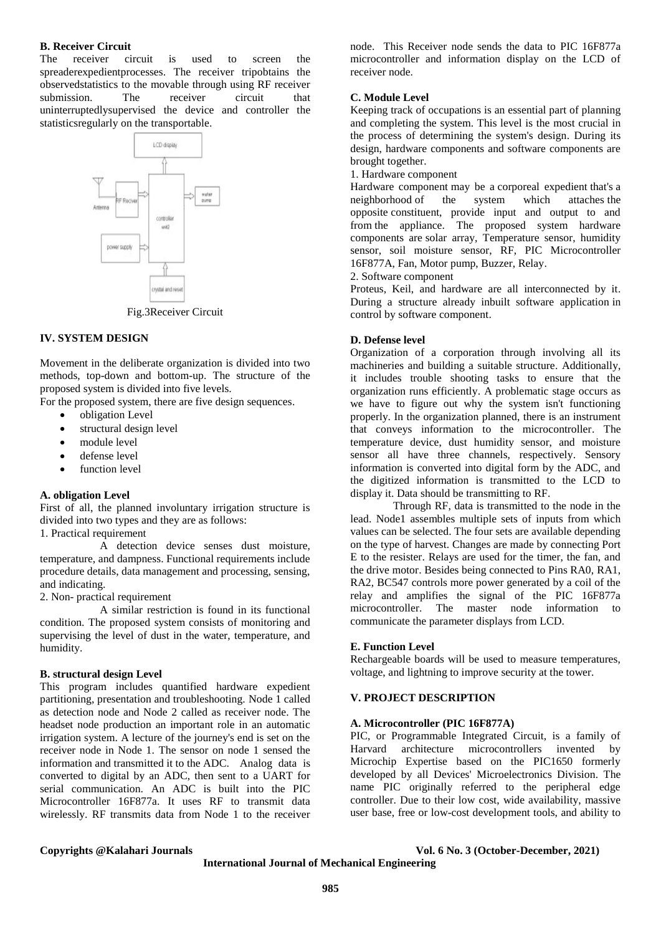#### **B. Receiver Circuit**

The receiver circuit is used to screen the spreaderexpedientprocesses. The receiver tripobtains the observedstatistics to the movable through using RF receiver submission. The receiver circuit that uninterruptedlysupervised the device and controller the statisticsregularly on the transportable.

> LCD display controlly vor supply

Fig.3Receiver Circuit

#### **IV. SYSTEM DESIGN**

Movement in the deliberate organization is divided into two methods, top-down and bottom-up. The structure of the proposed system is divided into five levels.

For the proposed system, there are five design sequences.

- obligation Level
- structural design level
- module level
- defense level
- function level

#### **A. obligation Level**

First of all, the planned involuntary irrigation structure is divided into two types and they are as follows:

1. Practical requirement

A detection device senses dust moisture, temperature, and dampness. Functional requirements include procedure details, data management and processing, sensing, and indicating.

2. Non- practical requirement

A similar restriction is found in its functional condition. The proposed system consists of monitoring and supervising the level of dust in the water, temperature, and humidity.

### **B. structural design Level**

This program includes quantified hardware expedient partitioning, presentation and troubleshooting. Node 1 called as detection node and Node 2 called as receiver node. The headset node production an important role in an automatic irrigation system. A lecture of the journey's end is set on the receiver node in Node 1. The sensor on node 1 sensed the information and transmitted it to the ADC. Analog data is converted to digital by an ADC, then sent to a UART for serial communication. An ADC is built into the PIC Microcontroller 16F877a. It uses RF to transmit data wirelessly. RF transmits data from Node 1 to the receiver

node. This Receiver node sends the data to PIC 16F877a microcontroller and information display on the LCD of receiver node.

#### **C. Module Level**

Keeping track of occupations is an essential part of planning and completing the system. This level is the most crucial in the process of determining the system's design. During its design, hardware components and software components are brought together.

1. Hardware component

Hardware component may be a corporeal expedient that's a neighborhood of the system which attaches the opposite constituent, provide input and output to and from the appliance. The proposed system hardware components are solar array, Temperature sensor, humidity sensor, soil moisture sensor, RF, PIC Microcontroller 16F877A, Fan, Motor pump, Buzzer, Relay.

2. Software component

Proteus, Keil, and hardware are all interconnected by it. During a structure already inbuilt software application in control by software component.

#### **D. Defense level**

Organization of a corporation through involving all its machineries and building a suitable structure. Additionally, it includes trouble shooting tasks to ensure that the organization runs efficiently. A problematic stage occurs as we have to figure out why the system isn't functioning properly. In the organization planned, there is an instrument that conveys information to the microcontroller. The temperature device, dust humidity sensor, and moisture sensor all have three channels, respectively. Sensory information is converted into digital form by the ADC, and the digitized information is transmitted to the LCD to display it. Data should be transmitting to RF.

Through RF, data is transmitted to the node in the lead. Node1 assembles multiple sets of inputs from which values can be selected. The four sets are available depending on the type of harvest. Changes are made by connecting Port E to the resister. Relays are used for the timer, the fan, and the drive motor. Besides being connected to Pins RA0, RA1, RA2, BC547 controls more power generated by a coil of the relay and amplifies the signal of the PIC 16F877a microcontroller. The master node information to communicate the parameter displays from LCD.

#### **E. Function Level**

Rechargeable boards will be used to measure temperatures, voltage, and lightning to improve security at the tower.

### **V. PROJECT DESCRIPTION**

#### **A. Microcontroller (PIC 16F877A)**

PIC, or Programmable Integrated Circuit, is a family of Harvard architecture microcontrollers invented by Microchip Expertise based on the PIC1650 formerly developed by all Devices' Microelectronics Division. The name PIC originally referred to the peripheral edge controller. Due to their low cost, wide availability, massive user base, free or low-cost development tools, and ability to

**Copyrights @Kalahari Journals Vol. 6 No. 3 (October-December, 2021)**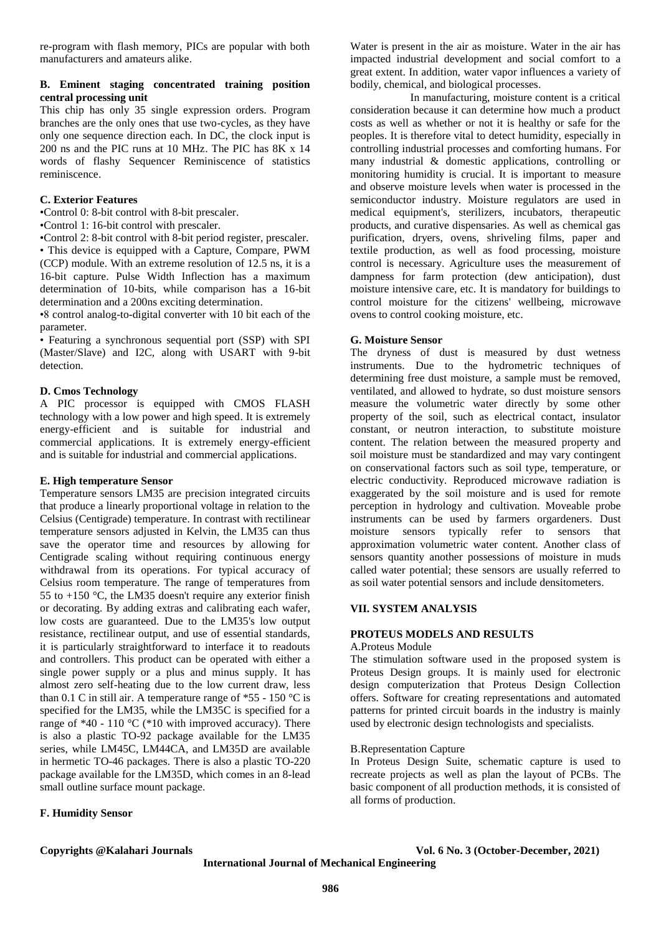re-program with flash memory, PICs are popular with both manufacturers and amateurs alike.

### **B. Eminent staging concentrated training position central processing unit**

This chip has only 35 single expression orders. Program branches are the only ones that use two-cycles, as they have only one sequence direction each. In DC, the clock input is 200 ns and the PIC runs at 10 MHz. The PIC has 8K x 14 words of flashy Sequencer Reminiscence of statistics reminiscence.

# **C. Exterior Features**

•Control 0: 8-bit control with 8-bit prescaler.

•Control 1: 16-bit control with prescaler.

•Control 2: 8-bit control with 8-bit period register, prescaler. • This device is equipped with a Capture, Compare, PWM (CCP) module. With an extreme resolution of 12.5 ns, it is a 16-bit capture. Pulse Width Inflection has a maximum determination of 10-bits, while comparison has a 16-bit determination and a 200ns exciting determination.

•8 control analog-to-digital converter with 10 bit each of the parameter.

• Featuring a synchronous sequential port (SSP) with SPI (Master/Slave) and I2C, along with USART with 9-bit detection.

# **D. Cmos Technology**

A PIC processor is equipped with CMOS FLASH technology with a low power and high speed. It is extremely energy-efficient and is suitable for industrial and commercial applications. It is extremely energy-efficient and is suitable for industrial and commercial applications.

# **E. High temperature Sensor**

Temperature sensors LM35 are precision integrated circuits that produce a linearly proportional voltage in relation to the Celsius (Centigrade) temperature. In contrast with rectilinear temperature sensors adjusted in Kelvin, the LM35 can thus save the operator time and resources by allowing for Centigrade scaling without requiring continuous energy withdrawal from its operations. For typical accuracy of Celsius room temperature. The range of temperatures from 55 to  $+150$  °C, the LM35 doesn't require any exterior finish or decorating. By adding extras and calibrating each wafer, low costs are guaranteed. Due to the LM35's low output resistance, rectilinear output, and use of essential standards, it is particularly straightforward to interface it to readouts and controllers. This product can be operated with either a single power supply or a plus and minus supply. It has almost zero self-heating due to the low current draw, less than 0.1 C in still air. A temperature range of  $*55 - 150$  °C is specified for the LM35, while the LM35C is specified for a range of  $*40 - 110$  °C ( $*10$  with improved accuracy). There is also a plastic TO-92 package available for the LM35 series, while LM45C, LM44CA, and LM35D are available in hermetic TO-46 packages. There is also a plastic TO-220 package available for the LM35D, which comes in an 8-lead small outline surface mount package.

# **F. Humidity Sensor**

Water is present in the air as moisture. Water in the air has impacted industrial development and social comfort to a great extent. In addition, water vapor influences a variety of bodily, chemical, and biological processes.

In manufacturing, moisture content is a critical consideration because it can determine how much a product costs as well as whether or not it is healthy or safe for the peoples. It is therefore vital to detect humidity, especially in controlling industrial processes and comforting humans. For many industrial & domestic applications, controlling or monitoring humidity is crucial. It is important to measure and observe moisture levels when water is processed in the semiconductor industry. Moisture regulators are used in medical equipment's, sterilizers, incubators, therapeutic products, and curative dispensaries. As well as chemical gas purification, dryers, ovens, shriveling films, paper and textile production, as well as food processing, moisture control is necessary. Agriculture uses the measurement of dampness for farm protection (dew anticipation), dust moisture intensive care, etc. It is mandatory for buildings to control moisture for the citizens' wellbeing, microwave ovens to control cooking moisture, etc.

# **G. Moisture Sensor**

The dryness of dust is measured by dust wetness instruments. Due to the hydrometric techniques of determining free dust moisture, a sample must be removed, ventilated, and allowed to hydrate, so dust moisture sensors measure the volumetric water directly by some other property of the soil, such as electrical contact, insulator constant, or neutron interaction, to substitute moisture content. The relation between the measured property and soil moisture must be standardized and may vary contingent on conservational factors such as soil type, temperature, or electric conductivity. Reproduced microwave radiation is exaggerated by the soil moisture and is used for remote perception in hydrology and cultivation. Moveable probe instruments can be used by farmers orgardeners. Dust moisture sensors typically refer to sensors that approximation volumetric water content. Another class of sensors quantity another possessions of moisture in muds called water potential; these sensors are usually referred to as soil water potential sensors and include densitometers.

# **VII. SYSTEM ANALYSIS**

#### **PROTEUS MODELS AND RESULTS** A.Proteus Module

The stimulation software used in the proposed system is Proteus Design groups. It is mainly used for electronic design computerization that Proteus Design Collection offers. Software for creating representations and automated patterns for printed circuit boards in the industry is mainly used by electronic design technologists and specialists.

# B.Representation Capture

In Proteus Design Suite, schematic capture is used to recreate projects as well as plan the layout of PCBs. The basic component of all production methods, it is consisted of all forms of production.

**Copyrights @Kalahari Journals Vol. 6 No. 3 (October-December, 2021) International Journal of Mechanical Engineering**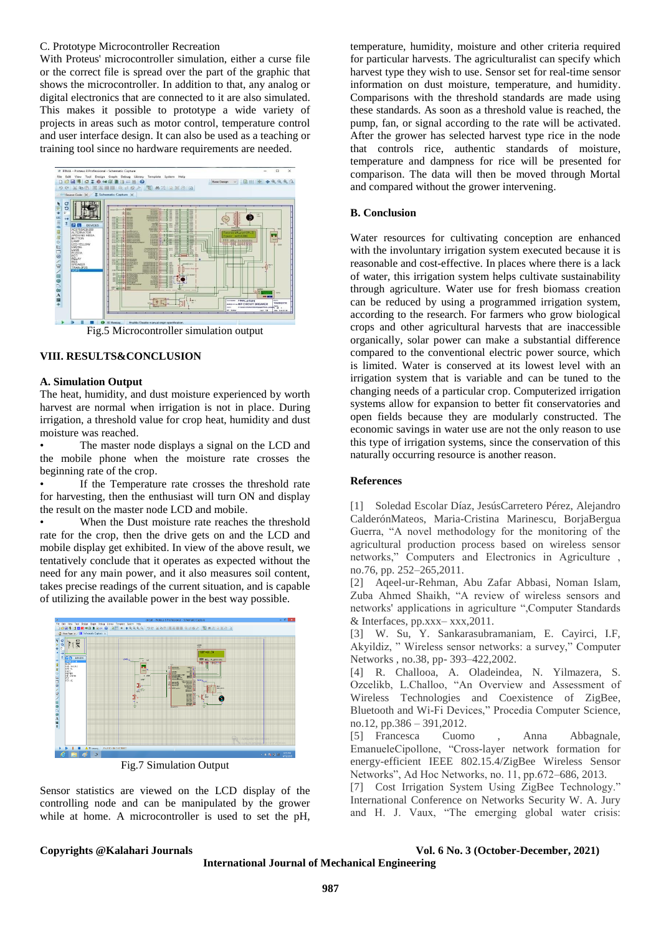#### C. Prototype Microcontroller Recreation

With Proteus' microcontroller simulation, either a curse file or the correct file is spread over the part of the graphic that shows the microcontroller. In addition to that, any analog or digital electronics that are connected to it are also simulated. This makes it possible to prototype a wide variety of projects in areas such as motor control, temperature control and user interface design. It can also be used as a teaching or training tool since no hardware requirements are needed.



Fig.5 Microcontroller simulation output

### **VIII. RESULTS&CONCLUSION**

#### **A. Simulation Output**

The heat, humidity, and dust moisture experienced by worth harvest are normal when irrigation is not in place. During irrigation, a threshold value for crop heat, humidity and dust moisture was reached.

The master node displays a signal on the LCD and the mobile phone when the moisture rate crosses the beginning rate of the crop.

If the Temperature rate crosses the threshold rate for harvesting, then the enthusiast will turn ON and display the result on the master node LCD and mobile.

When the Dust moisture rate reaches the threshold rate for the crop, then the drive gets on and the LCD and mobile display get exhibited. In view of the above result, we tentatively conclude that it operates as expected without the need for any main power, and it also measures soil content, takes precise readings of the current situation, and is capable of utilizing the available power in the best way possible.



Fig.7 Simulation Output

Sensor statistics are viewed on the LCD display of the controlling node and can be manipulated by the grower while at home. A microcontroller is used to set the pH,

temperature, humidity, moisture and other criteria required for particular harvests. The agriculturalist can specify which harvest type they wish to use. Sensor set for real-time sensor information on dust moisture, temperature, and humidity. Comparisons with the threshold standards are made using these standards. As soon as a threshold value is reached, the pump, fan, or signal according to the rate will be activated. After the grower has selected harvest type rice in the node that controls rice, authentic standards of moisture, temperature and dampness for rice will be presented for comparison. The data will then be moved through Mortal and compared without the grower intervening.

# **B. Conclusion**

Water resources for cultivating conception are enhanced with the involuntary irrigation system executed because it is reasonable and cost-effective. In places where there is a lack of water, this irrigation system helps cultivate sustainability through agriculture. Water use for fresh biomass creation can be reduced by using a programmed irrigation system, according to the research. For farmers who grow biological crops and other agricultural harvests that are inaccessible organically, solar power can make a substantial difference compared to the conventional electric power source, which is limited. Water is conserved at its lowest level with an irrigation system that is variable and can be tuned to the changing needs of a particular crop. Computerized irrigation systems allow for expansion to better fit conservatories and open fields because they are modularly constructed. The economic savings in water use are not the only reason to use this type of irrigation systems, since the conservation of this naturally occurring resource is another reason.

### **References**

[1] Soledad Escolar Díaz, JesúsCarretero Pérez, Alejandro CalderónMateos, Maria-Cristina Marinescu, BorjaBergua Guerra, "A novel methodology for the monitoring of the agricultural production process based on wireless sensor networks," Computers and Electronics in Agriculture , no.76, pp. 252–265,2011.

[2] Aqeel-ur-Rehman, Abu Zafar Abbasi, Noman Islam, Zuba Ahmed Shaikh, "A review of wireless sensors and networks' applications in agriculture ",Computer Standards  $&$  Interfaces, pp.xxx– xxx, 2011.

[3] W. Su, Y. Sankarasubramaniam, E. Cayirci, I.F, Akyildiz, " Wireless sensor networks: a survey," Computer Networks , no.38, pp- 393-422, 2002.

[4] R. Challooa, A. Oladeindea, N. Yilmazera, S. Ozcelikb, L.Challoo, "An Overview and Assessment of Wireless Technologies and Coexistence of ZigBee, Bluetooth and Wi-Fi Devices," Procedia Computer Science, no.12, pp.386 – 391,2012.

[5] Francesca Cuomo , Anna Abbagnale, EmanueleCipollone, "Cross-layer network formation for energy-efficient IEEE 802.15.4/ZigBee Wireless Sensor Networks", Ad Hoc Networks, no. 11, pp.672–686, 2013.

[7] Cost Irrigation System Using ZigBee Technology." International Conference on Networks Security W. A. Jury and H. J. Vaux, "The emerging global water crisis:

#### **Copyrights @Kalahari Journals Vol. 6 No. 3 (October-December, 2021)**